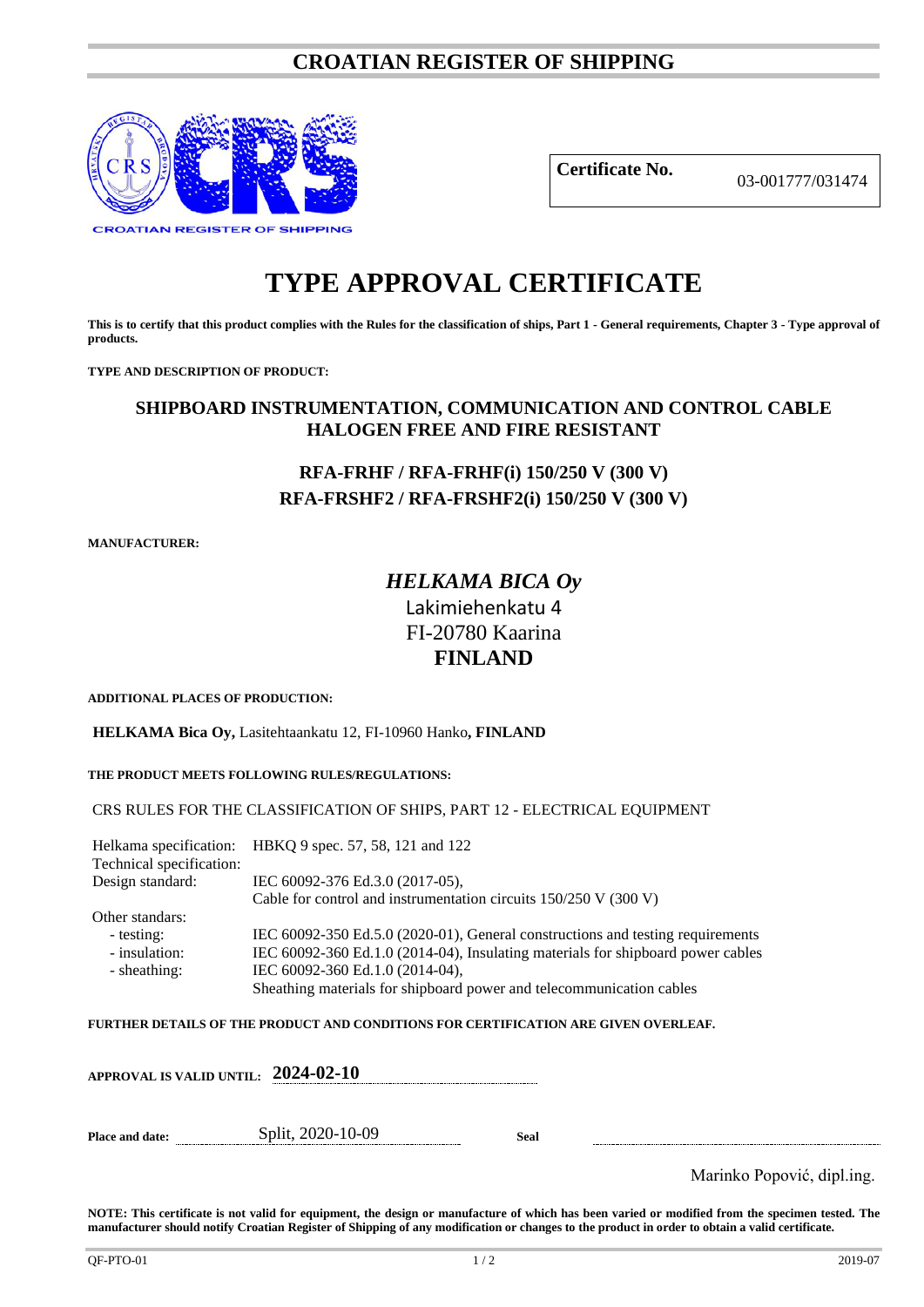## **CROATIAN REGISTER OF SHIPPING**



**Certificate No.** 03-001777/031474

# **TYPE APPROVAL CERTIFICATE**

**This is to certify that this product complies with the Rules for the classification of ships, Part 1 - General requirements, Chapter 3 - Type approval of products.**

**TYPE AND DESCRIPTION OF PRODUCT:** 

### **SHIPBOARD INSTRUMENTATION, COMMUNICATION AND CONTROL CABLE HALOGEN FREE AND FIRE RESISTANT**

# **RFA-FRHF / RFA-FRHF(i) 150/250 V (300 V) RFA-FRSHF2 / RFA-FRSHF2(i) 150/250 V (300 V)**

**MANUFACTURER:**

# *HELKAMA BICA Oy* Lakimiehenkatu 4 FI-20780 Kaarina **FINLAND**

**ADDITIONAL PLACES OF PRODUCTION:**

**HELKAMA Bica Oy,** Lasitehtaankatu 12, FI-10960 Hanko**, FINLAND**

**THE PRODUCT MEETS FOLLOWING RULES/REGULATIONS:**

CRS RULES FOR THE CLASSIFICATION OF SHIPS, PART 12 - ELECTRICAL EQUIPMENT

Helkama specification: HBKQ 9 spec. 57, 58, 121 and 122 Technical specification: Design standard: IEC 60092-376 Ed.3.0 (2017-05), Cable for control and instrumentation circuits 150/250 V (300 V) Other standars: - testing: IEC 60092-350 Ed.5.0 (2020-01), General constructions and testing requirements<br>- insulation: IEC 60092-360 Ed.1.0 (2014-04), Insulating materials for shipboard power cables IEC 60092-360 Ed.1.0 (2014-04), Insulating materials for shipboard power cables - sheathing: IEC 60092-360 Ed.1.0 (2014-04), Sheathing materials for shipboard power and telecommunication cables

**FURTHER DETAILS OF THE PRODUCT AND CONDITIONS FOR CERTIFICATION ARE GIVEN OVERLEAF.**

|                 | APPROVAL IS VALID UNTIL: $2024$ -02-10 |      |                                                  |
|-----------------|----------------------------------------|------|--------------------------------------------------|
| Place and date: | Split, 2020-10-09                      | Seal | . .<br>$\mathbf{1}$ $\mathbf{1}$<br>$\mathbf{r}$ |

Marinko Popović, dipl.ing.

**NOTE: This certificate is not valid for equipment, the design or manufacture of which has been varied or modified from the specimen tested. The manufacturer should notify Croatian Register of Shipping of any modification or changes to the product in order to obtain a valid certificate.**